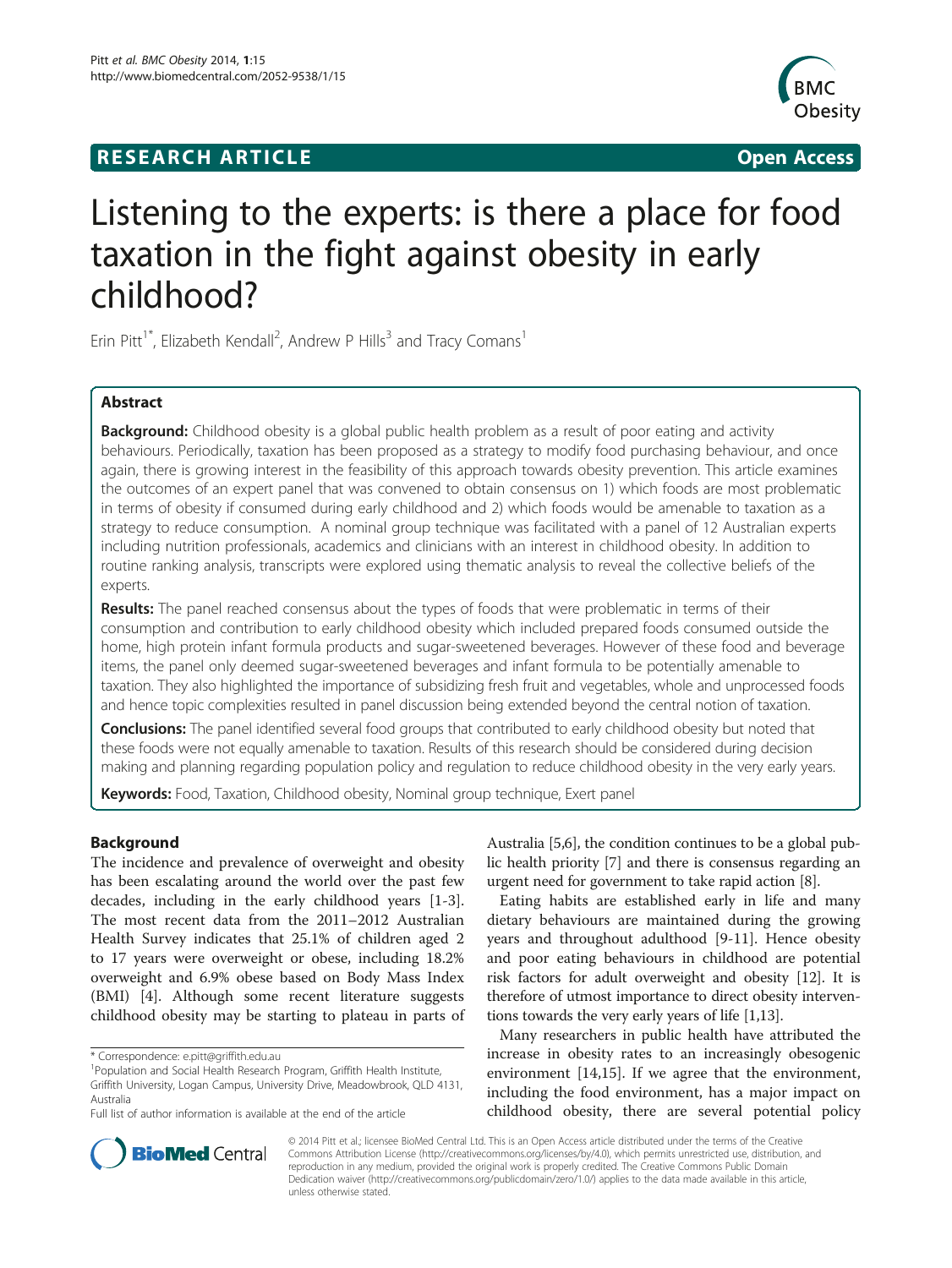# **RESEARCH ARTICLE Example 2018 12:00 Department of the COVID-TIGGS COPEN Access**



# Listening to the experts: is there a place for food taxation in the fight against obesity in early childhood?

Erin Pitt<sup>1\*</sup>, Elizabeth Kendall<sup>2</sup>, Andrew P Hills<sup>3</sup> and Tracy Comans<sup>1</sup>

# Abstract

**Background:** Childhood obesity is a global public health problem as a result of poor eating and activity behaviours. Periodically, taxation has been proposed as a strategy to modify food purchasing behaviour, and once again, there is growing interest in the feasibility of this approach towards obesity prevention. This article examines the outcomes of an expert panel that was convened to obtain consensus on 1) which foods are most problematic in terms of obesity if consumed during early childhood and 2) which foods would be amenable to taxation as a strategy to reduce consumption. A nominal group technique was facilitated with a panel of 12 Australian experts including nutrition professionals, academics and clinicians with an interest in childhood obesity. In addition to routine ranking analysis, transcripts were explored using thematic analysis to reveal the collective beliefs of the experts.

Results: The panel reached consensus about the types of foods that were problematic in terms of their consumption and contribution to early childhood obesity which included prepared foods consumed outside the home, high protein infant formula products and sugar-sweetened beverages. However of these food and beverage items, the panel only deemed sugar-sweetened beverages and infant formula to be potentially amenable to taxation. They also highlighted the importance of subsidizing fresh fruit and vegetables, whole and unprocessed foods and hence topic complexities resulted in panel discussion being extended beyond the central notion of taxation.

Conclusions: The panel identified several food groups that contributed to early childhood obesity but noted that these foods were not equally amenable to taxation. Results of this research should be considered during decision making and planning regarding population policy and regulation to reduce childhood obesity in the very early years.

Keywords: Food, Taxation, Childhood obesity, Nominal group technique, Exert panel

# Background

The incidence and prevalence of overweight and obesity has been escalating around the world over the past few decades, including in the early childhood years [[1-3](#page-7-0)]. The most recent data from the 2011–2012 Australian Health Survey indicates that 25.1% of children aged 2 to 17 years were overweight or obese, including 18.2% overweight and 6.9% obese based on Body Mass Index (BMI) [[4\]](#page-7-0). Although some recent literature suggests childhood obesity may be starting to plateau in parts of

Australia [\[5,6](#page-7-0)], the condition continues to be a global public health priority [\[7](#page-7-0)] and there is consensus regarding an urgent need for government to take rapid action [\[8](#page-7-0)].

Eating habits are established early in life and many dietary behaviours are maintained during the growing years and throughout adulthood [[9-11\]](#page-7-0). Hence obesity and poor eating behaviours in childhood are potential risk factors for adult overweight and obesity [[12](#page-7-0)]. It is therefore of utmost importance to direct obesity interventions towards the very early years of life [\[1,13](#page-7-0)].

Many researchers in public health have attributed the increase in obesity rates to an increasingly obesogenic environment [\[14,15](#page-7-0)]. If we agree that the environment, including the food environment, has a major impact on childhood obesity, there are several potential policy



© 2014 Pitt et al.; licensee BioMed Central Ltd. This is an Open Access article distributed under the terms of the Creative Commons Attribution License [\(http://creativecommons.org/licenses/by/4.0\)](http://creativecommons.org/licenses/by/4.0), which permits unrestricted use, distribution, and reproduction in any medium, provided the original work is properly credited. The Creative Commons Public Domain Dedication waiver [\(http://creativecommons.org/publicdomain/zero/1.0/](http://creativecommons.org/publicdomain/zero/1.0/)) applies to the data made available in this article, unless otherwise stated.

<sup>\*</sup> Correspondence: [e.pitt@griffith.edu.au](mailto:e.pitt@griffith.edu.au) <sup>1</sup>

<sup>&</sup>lt;sup>1</sup> Population and Social Health Research Program, Griffith Health Institute, Griffith University, Logan Campus, University Drive, Meadowbrook, QLD 4131, Australia

Full list of author information is available at the end of the article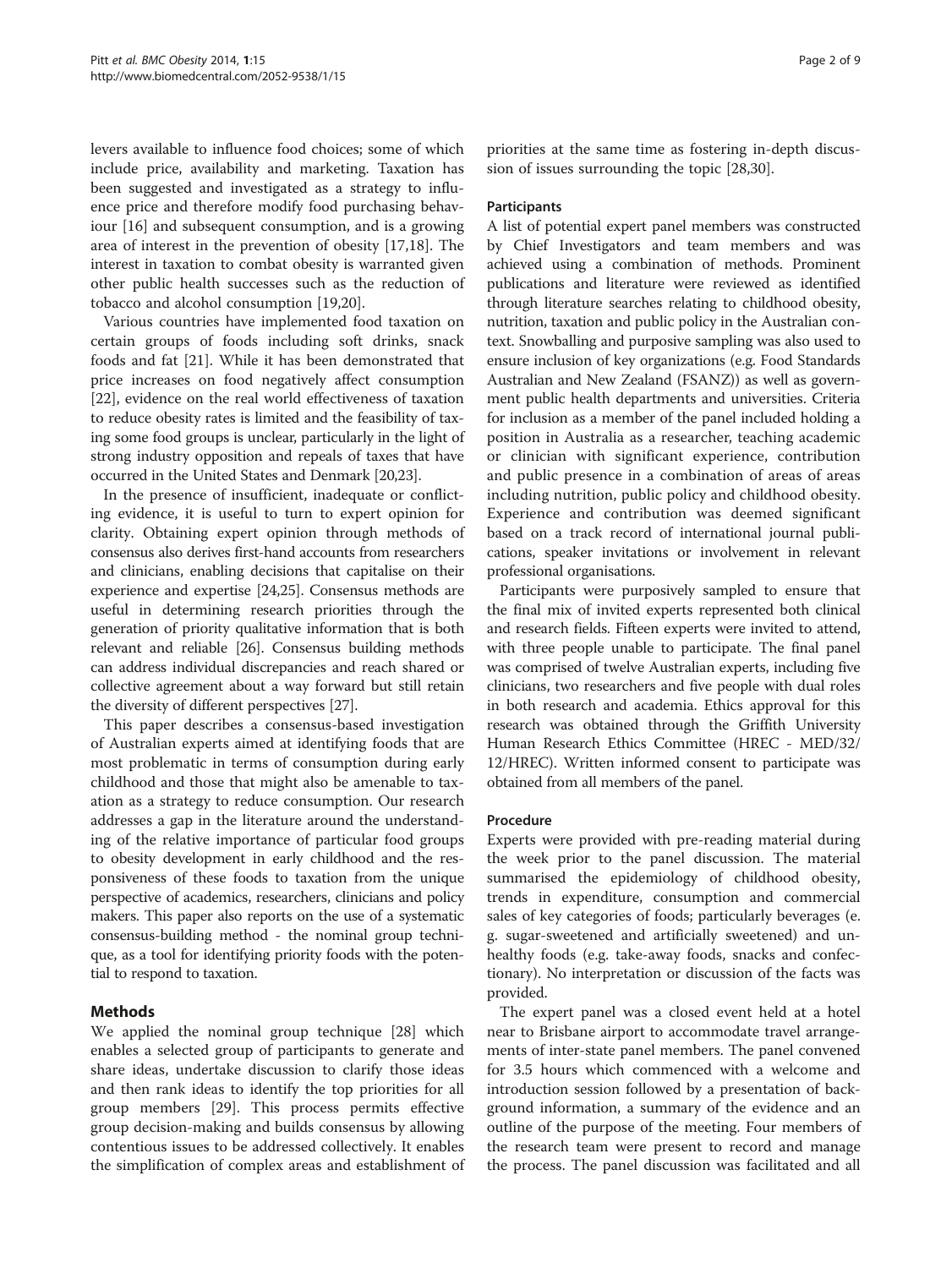levers available to influence food choices; some of which include price, availability and marketing. Taxation has been suggested and investigated as a strategy to influence price and therefore modify food purchasing behaviour [[16\]](#page-7-0) and subsequent consumption, and is a growing area of interest in the prevention of obesity [[17,18\]](#page-7-0). The interest in taxation to combat obesity is warranted given other public health successes such as the reduction of tobacco and alcohol consumption [\[19,20](#page-7-0)].

Various countries have implemented food taxation on certain groups of foods including soft drinks, snack foods and fat [\[21\]](#page-7-0). While it has been demonstrated that price increases on food negatively affect consumption [[22\]](#page-7-0), evidence on the real world effectiveness of taxation to reduce obesity rates is limited and the feasibility of taxing some food groups is unclear, particularly in the light of strong industry opposition and repeals of taxes that have occurred in the United States and Denmark [\[20,23\]](#page-7-0).

In the presence of insufficient, inadequate or conflicting evidence, it is useful to turn to expert opinion for clarity. Obtaining expert opinion through methods of consensus also derives first-hand accounts from researchers and clinicians, enabling decisions that capitalise on their experience and expertise [[24,25\]](#page-7-0). Consensus methods are useful in determining research priorities through the generation of priority qualitative information that is both relevant and reliable [\[26](#page-7-0)]. Consensus building methods can address individual discrepancies and reach shared or collective agreement about a way forward but still retain the diversity of different perspectives [\[27\]](#page-7-0).

This paper describes a consensus-based investigation of Australian experts aimed at identifying foods that are most problematic in terms of consumption during early childhood and those that might also be amenable to taxation as a strategy to reduce consumption. Our research addresses a gap in the literature around the understanding of the relative importance of particular food groups to obesity development in early childhood and the responsiveness of these foods to taxation from the unique perspective of academics, researchers, clinicians and policy makers. This paper also reports on the use of a systematic consensus-building method - the nominal group technique, as a tool for identifying priority foods with the potential to respond to taxation.

# Methods

We applied the nominal group technique [[28](#page-7-0)] which enables a selected group of participants to generate and share ideas, undertake discussion to clarify those ideas and then rank ideas to identify the top priorities for all group members [\[29\]](#page-7-0). This process permits effective group decision-making and builds consensus by allowing contentious issues to be addressed collectively. It enables the simplification of complex areas and establishment of

priorities at the same time as fostering in-depth discussion of issues surrounding the topic [[28](#page-7-0),[30](#page-7-0)].

#### **Participants**

A list of potential expert panel members was constructed by Chief Investigators and team members and was achieved using a combination of methods. Prominent publications and literature were reviewed as identified through literature searches relating to childhood obesity, nutrition, taxation and public policy in the Australian context. Snowballing and purposive sampling was also used to ensure inclusion of key organizations (e.g. Food Standards Australian and New Zealand (FSANZ)) as well as government public health departments and universities. Criteria for inclusion as a member of the panel included holding a position in Australia as a researcher, teaching academic or clinician with significant experience, contribution and public presence in a combination of areas of areas including nutrition, public policy and childhood obesity. Experience and contribution was deemed significant based on a track record of international journal publications, speaker invitations or involvement in relevant professional organisations.

Participants were purposively sampled to ensure that the final mix of invited experts represented both clinical and research fields. Fifteen experts were invited to attend, with three people unable to participate. The final panel was comprised of twelve Australian experts, including five clinicians, two researchers and five people with dual roles in both research and academia. Ethics approval for this research was obtained through the Griffith University Human Research Ethics Committee (HREC - MED/32/ 12/HREC). Written informed consent to participate was obtained from all members of the panel.

#### Procedure

Experts were provided with pre-reading material during the week prior to the panel discussion. The material summarised the epidemiology of childhood obesity, trends in expenditure, consumption and commercial sales of key categories of foods; particularly beverages (e. g. sugar-sweetened and artificially sweetened) and unhealthy foods (e.g. take-away foods, snacks and confectionary). No interpretation or discussion of the facts was provided.

The expert panel was a closed event held at a hotel near to Brisbane airport to accommodate travel arrangements of inter-state panel members. The panel convened for 3.5 hours which commenced with a welcome and introduction session followed by a presentation of background information, a summary of the evidence and an outline of the purpose of the meeting. Four members of the research team were present to record and manage the process. The panel discussion was facilitated and all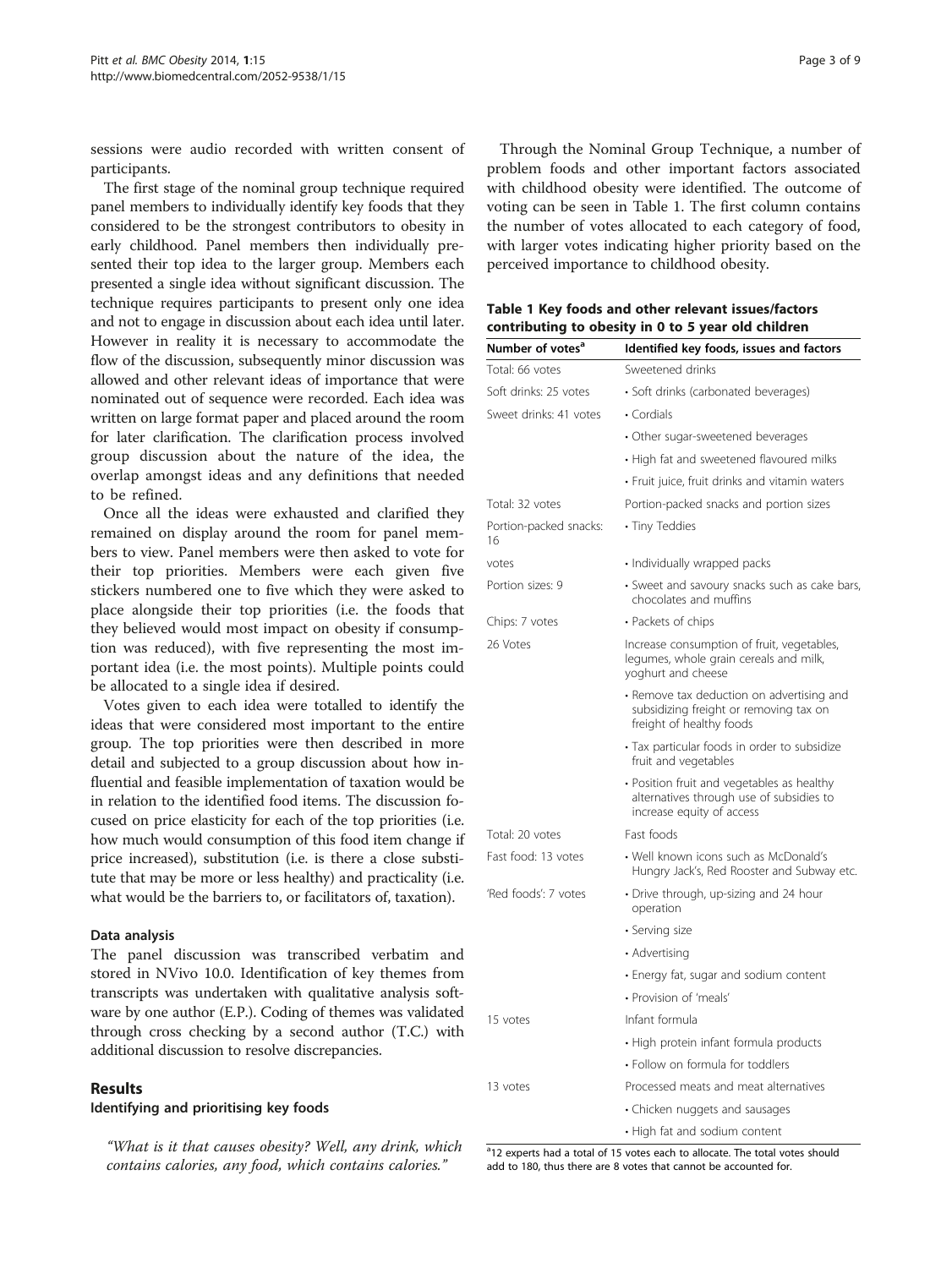sessions were audio recorded with written consent of participants.

The first stage of the nominal group technique required panel members to individually identify key foods that they considered to be the strongest contributors to obesity in early childhood. Panel members then individually presented their top idea to the larger group. Members each presented a single idea without significant discussion. The technique requires participants to present only one idea and not to engage in discussion about each idea until later. However in reality it is necessary to accommodate the flow of the discussion, subsequently minor discussion was allowed and other relevant ideas of importance that were nominated out of sequence were recorded. Each idea was written on large format paper and placed around the room for later clarification. The clarification process involved group discussion about the nature of the idea, the overlap amongst ideas and any definitions that needed to be refined.

Once all the ideas were exhausted and clarified they remained on display around the room for panel members to view. Panel members were then asked to vote for their top priorities. Members were each given five stickers numbered one to five which they were asked to place alongside their top priorities (i.e. the foods that they believed would most impact on obesity if consumption was reduced), with five representing the most important idea (i.e. the most points). Multiple points could be allocated to a single idea if desired.

Votes given to each idea were totalled to identify the ideas that were considered most important to the entire group. The top priorities were then described in more detail and subjected to a group discussion about how influential and feasible implementation of taxation would be in relation to the identified food items. The discussion focused on price elasticity for each of the top priorities (i.e. how much would consumption of this food item change if price increased), substitution (i.e. is there a close substitute that may be more or less healthy) and practicality (i.e. what would be the barriers to, or facilitators of, taxation).

#### Data analysis

The panel discussion was transcribed verbatim and stored in NVivo 10.0. Identification of key themes from transcripts was undertaken with qualitative analysis software by one author (E.P.). Coding of themes was validated through cross checking by a second author (T.C.) with additional discussion to resolve discrepancies.

#### Results

#### Identifying and prioritising key foods

"What is it that causes obesity? Well, any drink, which contains calories, any food, which contains calories."

Through the Nominal Group Technique, a number of problem foods and other important factors associated with childhood obesity were identified. The outcome of voting can be seen in Table 1. The first column contains the number of votes allocated to each category of food, with larger votes indicating higher priority based on the perceived importance to childhood obesity.

Table 1 Key foods and other relevant issues/factors contributing to obesity in 0 to 5 year old children

| Number of votes <sup>a</sup> | Identified key foods, issues and factors                                                                            |
|------------------------------|---------------------------------------------------------------------------------------------------------------------|
| Total: 66 votes              | Sweetened drinks                                                                                                    |
| Soft drinks: 25 votes        | · Soft drinks (carbonated beverages)                                                                                |
| Sweet drinks: 41 votes       | • Cordials                                                                                                          |
|                              | • Other sugar-sweetened beverages                                                                                   |
|                              | • High fat and sweetened flavoured milks                                                                            |
|                              | • Fruit juice, fruit drinks and vitamin waters                                                                      |
| Total: 32 votes              | Portion-packed snacks and portion sizes                                                                             |
| Portion-packed snacks:<br>16 | • Tiny Teddies                                                                                                      |
| votes                        | • Individually wrapped packs                                                                                        |
| Portion sizes: 9             | • Sweet and savoury snacks such as cake bars,<br>chocolates and muffins                                             |
| Chips: 7 votes               | • Packets of chips                                                                                                  |
| 26 Votes                     | Increase consumption of fruit, vegetables,<br>legumes, whole grain cereals and milk,<br>yoghurt and cheese          |
|                              | • Remove tax deduction on advertising and<br>subsidizing freight or removing tax on<br>freight of healthy foods     |
|                              | • Tax particular foods in order to subsidize<br>fruit and vegetables                                                |
|                              | • Position fruit and vegetables as healthy<br>alternatives through use of subsidies to<br>increase equity of access |
| Total: 20 votes              | Fast foods                                                                                                          |
| Fast food: 13 votes          | • Well known icons such as McDonald's<br>Hungry Jack's, Red Rooster and Subway etc.                                 |
| 'Red foods': 7 votes         | • Drive through, up-sizing and 24 hour<br>operation                                                                 |
|                              | • Serving size                                                                                                      |
|                              | • Advertising                                                                                                       |
|                              | · Energy fat, sugar and sodium content                                                                              |
|                              | · Provision of 'meals'                                                                                              |
| 15 votes                     | Infant formula                                                                                                      |
|                              | • High protein infant formula products                                                                              |
|                              | • Follow on formula for toddlers                                                                                    |
| 13 votes                     | Processed meats and meat alternatives                                                                               |
|                              | • Chicken nuggets and sausages                                                                                      |
|                              | • High fat and sodium content                                                                                       |

<sup>a</sup>12 experts had a total of 15 votes each to allocate. The total votes should add to 180, thus there are 8 votes that cannot be accounted for.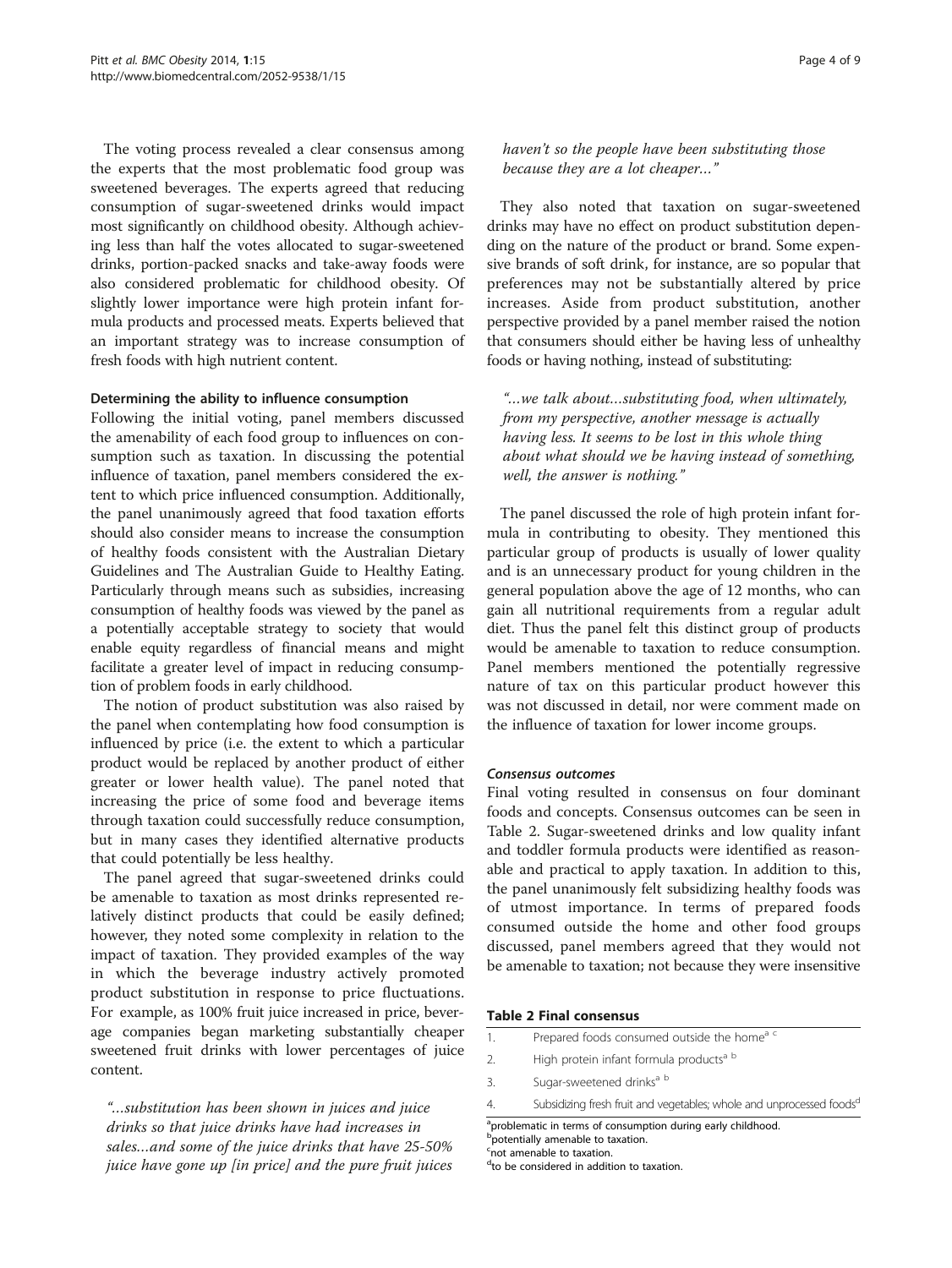The voting process revealed a clear consensus among the experts that the most problematic food group was sweetened beverages. The experts agreed that reducing consumption of sugar-sweetened drinks would impact most significantly on childhood obesity. Although achieving less than half the votes allocated to sugar-sweetened drinks, portion-packed snacks and take-away foods were also considered problematic for childhood obesity. Of slightly lower importance were high protein infant formula products and processed meats. Experts believed that an important strategy was to increase consumption of fresh foods with high nutrient content.

#### Determining the ability to influence consumption

Following the initial voting, panel members discussed the amenability of each food group to influences on consumption such as taxation. In discussing the potential influence of taxation, panel members considered the extent to which price influenced consumption. Additionally, the panel unanimously agreed that food taxation efforts should also consider means to increase the consumption of healthy foods consistent with the Australian Dietary Guidelines and The Australian Guide to Healthy Eating. Particularly through means such as subsidies, increasing consumption of healthy foods was viewed by the panel as a potentially acceptable strategy to society that would enable equity regardless of financial means and might facilitate a greater level of impact in reducing consumption of problem foods in early childhood.

The notion of product substitution was also raised by the panel when contemplating how food consumption is influenced by price (i.e. the extent to which a particular product would be replaced by another product of either greater or lower health value). The panel noted that increasing the price of some food and beverage items through taxation could successfully reduce consumption, but in many cases they identified alternative products that could potentially be less healthy.

The panel agreed that sugar-sweetened drinks could be amenable to taxation as most drinks represented relatively distinct products that could be easily defined; however, they noted some complexity in relation to the impact of taxation. They provided examples of the way in which the beverage industry actively promoted product substitution in response to price fluctuations. For example, as 100% fruit juice increased in price, beverage companies began marketing substantially cheaper sweetened fruit drinks with lower percentages of juice content.

"…substitution has been shown in juices and juice drinks so that juice drinks have had increases in sales…and some of the juice drinks that have 25-50% juice have gone up [in price] and the pure fruit juices haven't so the people have been substituting those because they are a lot cheaper…"

They also noted that taxation on sugar-sweetened drinks may have no effect on product substitution depending on the nature of the product or brand. Some expensive brands of soft drink, for instance, are so popular that preferences may not be substantially altered by price increases. Aside from product substitution, another perspective provided by a panel member raised the notion that consumers should either be having less of unhealthy foods or having nothing, instead of substituting:

"…we talk about…substituting food, when ultimately, from my perspective, another message is actually having less. It seems to be lost in this whole thing about what should we be having instead of something, well, the answer is nothing."

The panel discussed the role of high protein infant formula in contributing to obesity. They mentioned this particular group of products is usually of lower quality and is an unnecessary product for young children in the general population above the age of 12 months, who can gain all nutritional requirements from a regular adult diet. Thus the panel felt this distinct group of products would be amenable to taxation to reduce consumption. Panel members mentioned the potentially regressive nature of tax on this particular product however this was not discussed in detail, nor were comment made on the influence of taxation for lower income groups.

#### Consensus outcomes

Final voting resulted in consensus on four dominant foods and concepts. Consensus outcomes can be seen in Table 2. Sugar-sweetened drinks and low quality infant and toddler formula products were identified as reasonable and practical to apply taxation. In addition to this, the panel unanimously felt subsidizing healthy foods was of utmost importance. In terms of prepared foods consumed outside the home and other food groups discussed, panel members agreed that they would not be amenable to taxation; not because they were insensitive

#### Table 2 Final consensus

| Prepared foods consumed outside the home <sup>a c</sup> |
|---------------------------------------------------------|
| .                                                       |

- 2. High protein infant formula products
- 3. Sugar-sweetened drinks<sup>a b</sup>
- 4. Subsidizing fresh fruit and vegetables; whole and unprocessed foods<sup>d</sup>

<sup>a</sup>problematic in terms of consumption during early childhood. bpotentially amenable to taxation. <sup>c</sup>not amenable to taxation.

dto be considered in addition to taxation.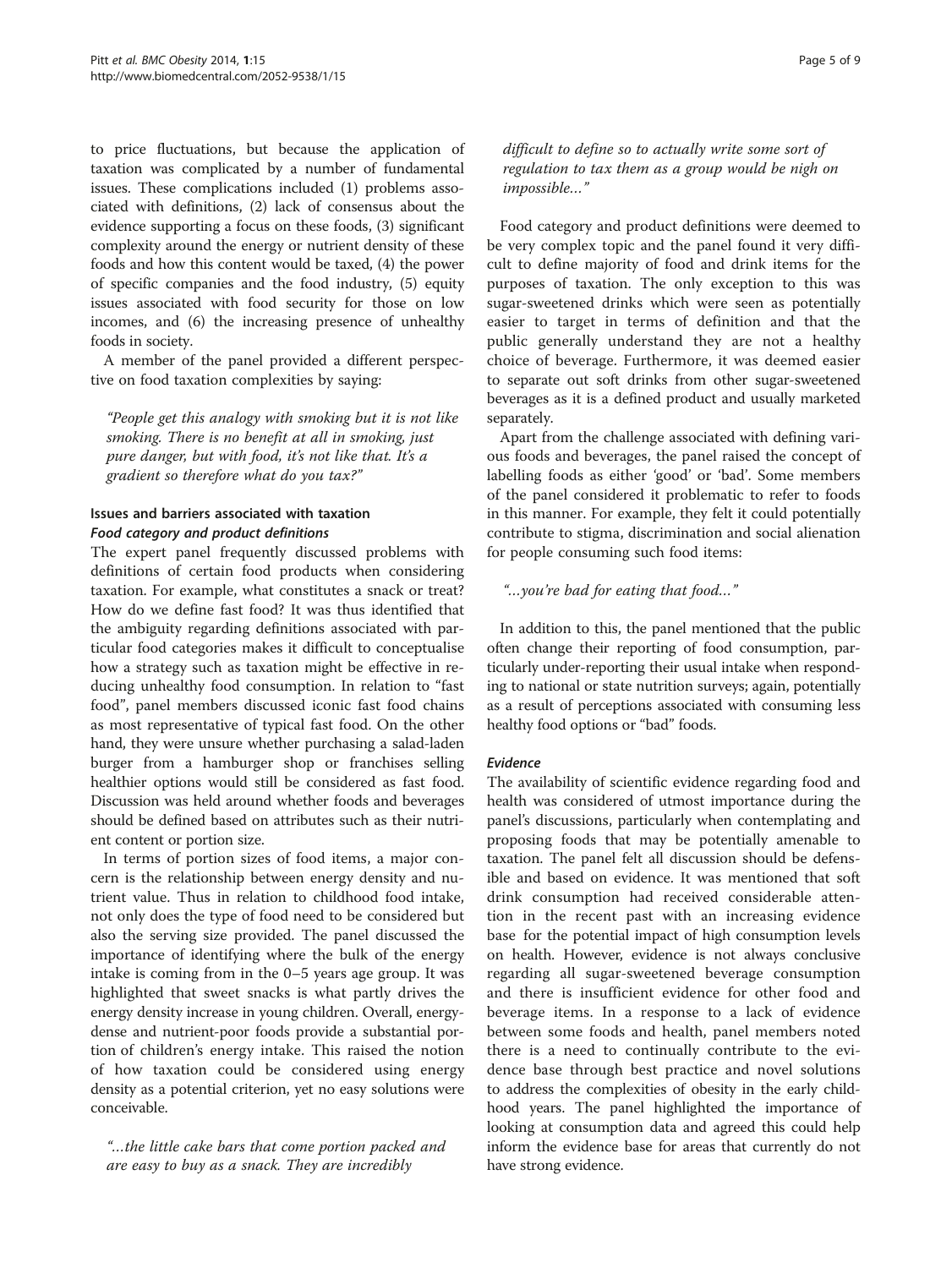to price fluctuations, but because the application of taxation was complicated by a number of fundamental issues. These complications included (1) problems associated with definitions, (2) lack of consensus about the evidence supporting a focus on these foods, (3) significant complexity around the energy or nutrient density of these foods and how this content would be taxed, (4) the power of specific companies and the food industry, (5) equity issues associated with food security for those on low incomes, and (6) the increasing presence of unhealthy foods in society.

A member of the panel provided a different perspective on food taxation complexities by saying:

"People get this analogy with smoking but it is not like smoking. There is no benefit at all in smoking, just pure danger, but with food, it's not like that. It's a gradient so therefore what do you tax?"

# Issues and barriers associated with taxation Food category and product definitions

The expert panel frequently discussed problems with definitions of certain food products when considering taxation. For example, what constitutes a snack or treat? How do we define fast food? It was thus identified that the ambiguity regarding definitions associated with particular food categories makes it difficult to conceptualise how a strategy such as taxation might be effective in reducing unhealthy food consumption. In relation to "fast food", panel members discussed iconic fast food chains as most representative of typical fast food. On the other hand, they were unsure whether purchasing a salad-laden burger from a hamburger shop or franchises selling healthier options would still be considered as fast food. Discussion was held around whether foods and beverages should be defined based on attributes such as their nutrient content or portion size.

In terms of portion sizes of food items, a major concern is the relationship between energy density and nutrient value. Thus in relation to childhood food intake, not only does the type of food need to be considered but also the serving size provided. The panel discussed the importance of identifying where the bulk of the energy intake is coming from in the 0–5 years age group. It was highlighted that sweet snacks is what partly drives the energy density increase in young children. Overall, energydense and nutrient-poor foods provide a substantial portion of children's energy intake. This raised the notion of how taxation could be considered using energy density as a potential criterion, yet no easy solutions were conceivable.

"…the little cake bars that come portion packed and are easy to buy as a snack. They are incredibly

difficult to define so to actually write some sort of regulation to tax them as a group would be nigh on impossible…"

Food category and product definitions were deemed to be very complex topic and the panel found it very difficult to define majority of food and drink items for the purposes of taxation. The only exception to this was sugar-sweetened drinks which were seen as potentially easier to target in terms of definition and that the public generally understand they are not a healthy choice of beverage. Furthermore, it was deemed easier to separate out soft drinks from other sugar-sweetened beverages as it is a defined product and usually marketed separately.

Apart from the challenge associated with defining various foods and beverages, the panel raised the concept of labelling foods as either 'good' or 'bad'. Some members of the panel considered it problematic to refer to foods in this manner. For example, they felt it could potentially contribute to stigma, discrimination and social alienation for people consuming such food items:

# "…you're bad for eating that food…"

In addition to this, the panel mentioned that the public often change their reporting of food consumption, particularly under-reporting their usual intake when responding to national or state nutrition surveys; again, potentially as a result of perceptions associated with consuming less healthy food options or "bad" foods.

#### Evidence

The availability of scientific evidence regarding food and health was considered of utmost importance during the panel's discussions, particularly when contemplating and proposing foods that may be potentially amenable to taxation. The panel felt all discussion should be defensible and based on evidence. It was mentioned that soft drink consumption had received considerable attention in the recent past with an increasing evidence base for the potential impact of high consumption levels on health. However, evidence is not always conclusive regarding all sugar-sweetened beverage consumption and there is insufficient evidence for other food and beverage items. In a response to a lack of evidence between some foods and health, panel members noted there is a need to continually contribute to the evidence base through best practice and novel solutions to address the complexities of obesity in the early childhood years. The panel highlighted the importance of looking at consumption data and agreed this could help inform the evidence base for areas that currently do not have strong evidence.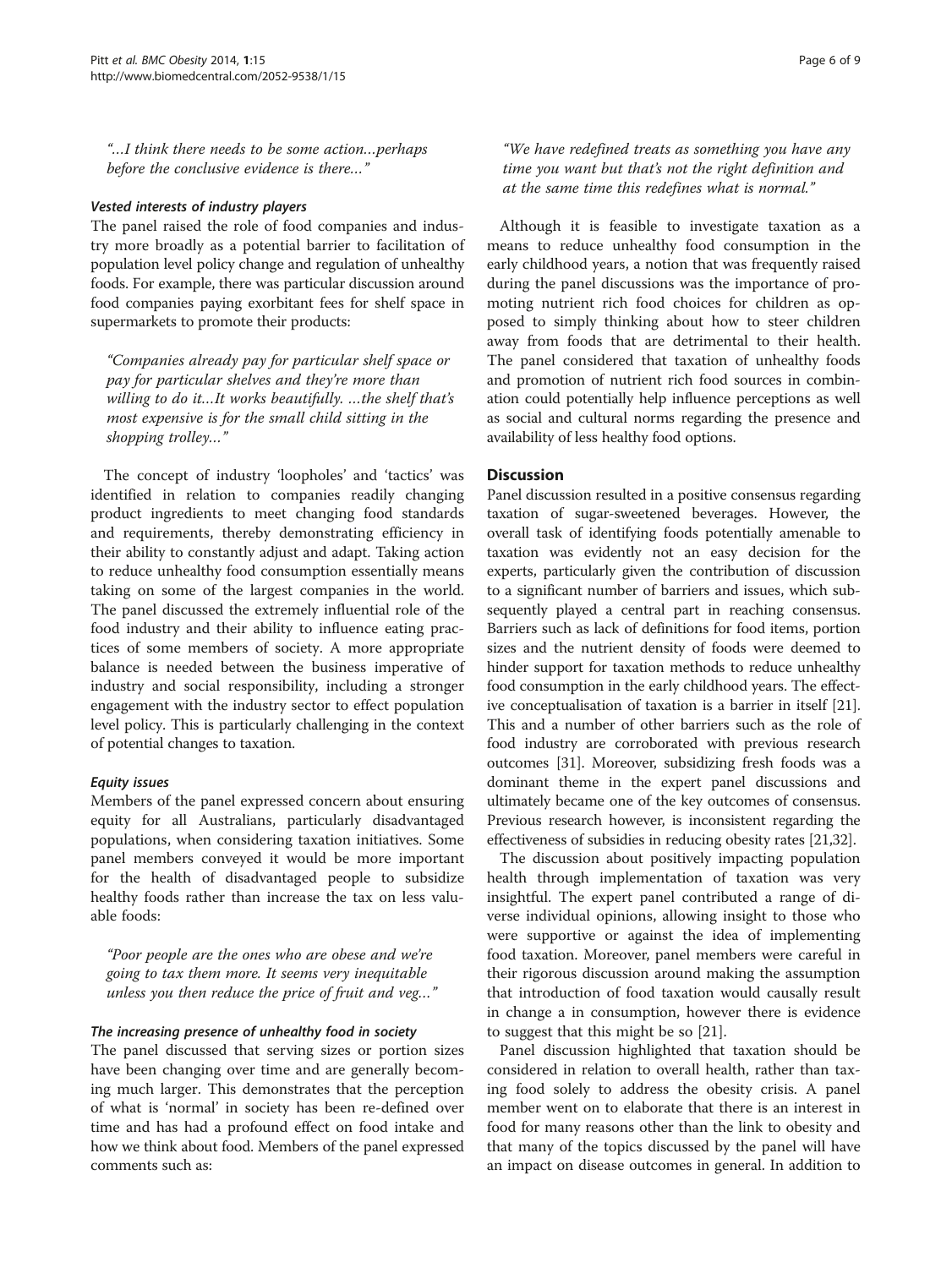"…I think there needs to be some action…perhaps before the conclusive evidence is there…"

#### Vested interests of industry players

The panel raised the role of food companies and industry more broadly as a potential barrier to facilitation of population level policy change and regulation of unhealthy foods. For example, there was particular discussion around food companies paying exorbitant fees for shelf space in supermarkets to promote their products:

"Companies already pay for particular shelf space or pay for particular shelves and they're more than willing to do it...It works beautifully. ...the shelf that's most expensive is for the small child sitting in the shopping trolley…"

The concept of industry 'loopholes' and 'tactics' was identified in relation to companies readily changing product ingredients to meet changing food standards and requirements, thereby demonstrating efficiency in their ability to constantly adjust and adapt. Taking action to reduce unhealthy food consumption essentially means taking on some of the largest companies in the world. The panel discussed the extremely influential role of the food industry and their ability to influence eating practices of some members of society. A more appropriate balance is needed between the business imperative of industry and social responsibility, including a stronger engagement with the industry sector to effect population level policy. This is particularly challenging in the context of potential changes to taxation.

# Equity issues

Members of the panel expressed concern about ensuring equity for all Australians, particularly disadvantaged populations, when considering taxation initiatives. Some panel members conveyed it would be more important for the health of disadvantaged people to subsidize healthy foods rather than increase the tax on less valuable foods:

"Poor people are the ones who are obese and we're going to tax them more. It seems very inequitable unless you then reduce the price of fruit and veg…"

### The increasing presence of unhealthy food in society

The panel discussed that serving sizes or portion sizes have been changing over time and are generally becoming much larger. This demonstrates that the perception of what is 'normal' in society has been re-defined over time and has had a profound effect on food intake and how we think about food. Members of the panel expressed comments such as:

"We have redefined treats as something you have any time you want but that's not the right definition and at the same time this redefines what is normal."

Although it is feasible to investigate taxation as a means to reduce unhealthy food consumption in the early childhood years, a notion that was frequently raised during the panel discussions was the importance of promoting nutrient rich food choices for children as opposed to simply thinking about how to steer children away from foods that are detrimental to their health. The panel considered that taxation of unhealthy foods and promotion of nutrient rich food sources in combination could potentially help influence perceptions as well as social and cultural norms regarding the presence and availability of less healthy food options.

#### **Discussion**

Panel discussion resulted in a positive consensus regarding taxation of sugar-sweetened beverages. However, the overall task of identifying foods potentially amenable to taxation was evidently not an easy decision for the experts, particularly given the contribution of discussion to a significant number of barriers and issues, which subsequently played a central part in reaching consensus. Barriers such as lack of definitions for food items, portion sizes and the nutrient density of foods were deemed to hinder support for taxation methods to reduce unhealthy food consumption in the early childhood years. The effective conceptualisation of taxation is a barrier in itself [[21](#page-7-0)]. This and a number of other barriers such as the role of food industry are corroborated with previous research outcomes [\[31\]](#page-7-0). Moreover, subsidizing fresh foods was a dominant theme in the expert panel discussions and ultimately became one of the key outcomes of consensus. Previous research however, is inconsistent regarding the effectiveness of subsidies in reducing obesity rates [\[21,32\]](#page-7-0).

The discussion about positively impacting population health through implementation of taxation was very insightful. The expert panel contributed a range of diverse individual opinions, allowing insight to those who were supportive or against the idea of implementing food taxation. Moreover, panel members were careful in their rigorous discussion around making the assumption that introduction of food taxation would causally result in change a in consumption, however there is evidence to suggest that this might be so [[21\]](#page-7-0).

Panel discussion highlighted that taxation should be considered in relation to overall health, rather than taxing food solely to address the obesity crisis. A panel member went on to elaborate that there is an interest in food for many reasons other than the link to obesity and that many of the topics discussed by the panel will have an impact on disease outcomes in general. In addition to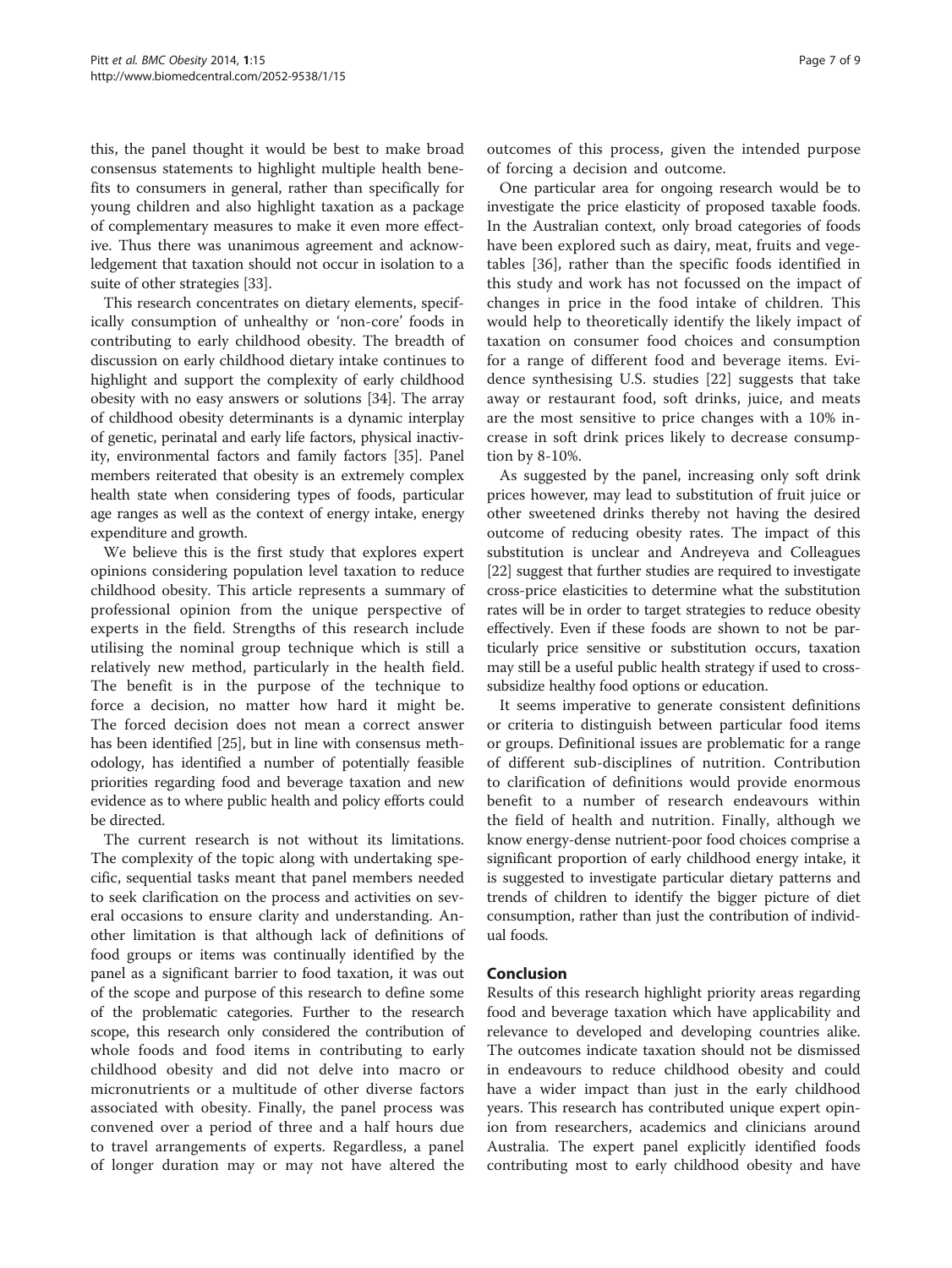this, the panel thought it would be best to make broad consensus statements to highlight multiple health benefits to consumers in general, rather than specifically for young children and also highlight taxation as a package of complementary measures to make it even more effective. Thus there was unanimous agreement and acknowledgement that taxation should not occur in isolation to a suite of other strategies [\[33\]](#page-7-0).

This research concentrates on dietary elements, specifically consumption of unhealthy or 'non-core' foods in contributing to early childhood obesity. The breadth of discussion on early childhood dietary intake continues to highlight and support the complexity of early childhood obesity with no easy answers or solutions [[34](#page-8-0)]. The array of childhood obesity determinants is a dynamic interplay of genetic, perinatal and early life factors, physical inactivity, environmental factors and family factors [\[35\]](#page-8-0). Panel members reiterated that obesity is an extremely complex health state when considering types of foods, particular age ranges as well as the context of energy intake, energy expenditure and growth.

We believe this is the first study that explores expert opinions considering population level taxation to reduce childhood obesity. This article represents a summary of professional opinion from the unique perspective of experts in the field. Strengths of this research include utilising the nominal group technique which is still a relatively new method, particularly in the health field. The benefit is in the purpose of the technique to force a decision, no matter how hard it might be. The forced decision does not mean a correct answer has been identified [[25\]](#page-7-0), but in line with consensus methodology, has identified a number of potentially feasible priorities regarding food and beverage taxation and new evidence as to where public health and policy efforts could be directed.

The current research is not without its limitations. The complexity of the topic along with undertaking specific, sequential tasks meant that panel members needed to seek clarification on the process and activities on several occasions to ensure clarity and understanding. Another limitation is that although lack of definitions of food groups or items was continually identified by the panel as a significant barrier to food taxation, it was out of the scope and purpose of this research to define some of the problematic categories. Further to the research scope, this research only considered the contribution of whole foods and food items in contributing to early childhood obesity and did not delve into macro or micronutrients or a multitude of other diverse factors associated with obesity. Finally, the panel process was convened over a period of three and a half hours due to travel arrangements of experts. Regardless, a panel of longer duration may or may not have altered the

outcomes of this process, given the intended purpose of forcing a decision and outcome.

One particular area for ongoing research would be to investigate the price elasticity of proposed taxable foods. In the Australian context, only broad categories of foods have been explored such as dairy, meat, fruits and vegetables [[36](#page-8-0)], rather than the specific foods identified in this study and work has not focussed on the impact of changes in price in the food intake of children. This would help to theoretically identify the likely impact of taxation on consumer food choices and consumption for a range of different food and beverage items. Evidence synthesising U.S. studies [[22\]](#page-7-0) suggests that take away or restaurant food, soft drinks, juice, and meats are the most sensitive to price changes with a 10% increase in soft drink prices likely to decrease consumption by 8-10%.

As suggested by the panel, increasing only soft drink prices however, may lead to substitution of fruit juice or other sweetened drinks thereby not having the desired outcome of reducing obesity rates. The impact of this substitution is unclear and Andreyeva and Colleagues [[22](#page-7-0)] suggest that further studies are required to investigate cross-price elasticities to determine what the substitution rates will be in order to target strategies to reduce obesity effectively. Even if these foods are shown to not be particularly price sensitive or substitution occurs, taxation may still be a useful public health strategy if used to crosssubsidize healthy food options or education.

It seems imperative to generate consistent definitions or criteria to distinguish between particular food items or groups. Definitional issues are problematic for a range of different sub-disciplines of nutrition. Contribution to clarification of definitions would provide enormous benefit to a number of research endeavours within the field of health and nutrition. Finally, although we know energy-dense nutrient-poor food choices comprise a significant proportion of early childhood energy intake, it is suggested to investigate particular dietary patterns and trends of children to identify the bigger picture of diet consumption, rather than just the contribution of individual foods.

# Conclusion

Results of this research highlight priority areas regarding food and beverage taxation which have applicability and relevance to developed and developing countries alike. The outcomes indicate taxation should not be dismissed in endeavours to reduce childhood obesity and could have a wider impact than just in the early childhood years. This research has contributed unique expert opinion from researchers, academics and clinicians around Australia. The expert panel explicitly identified foods contributing most to early childhood obesity and have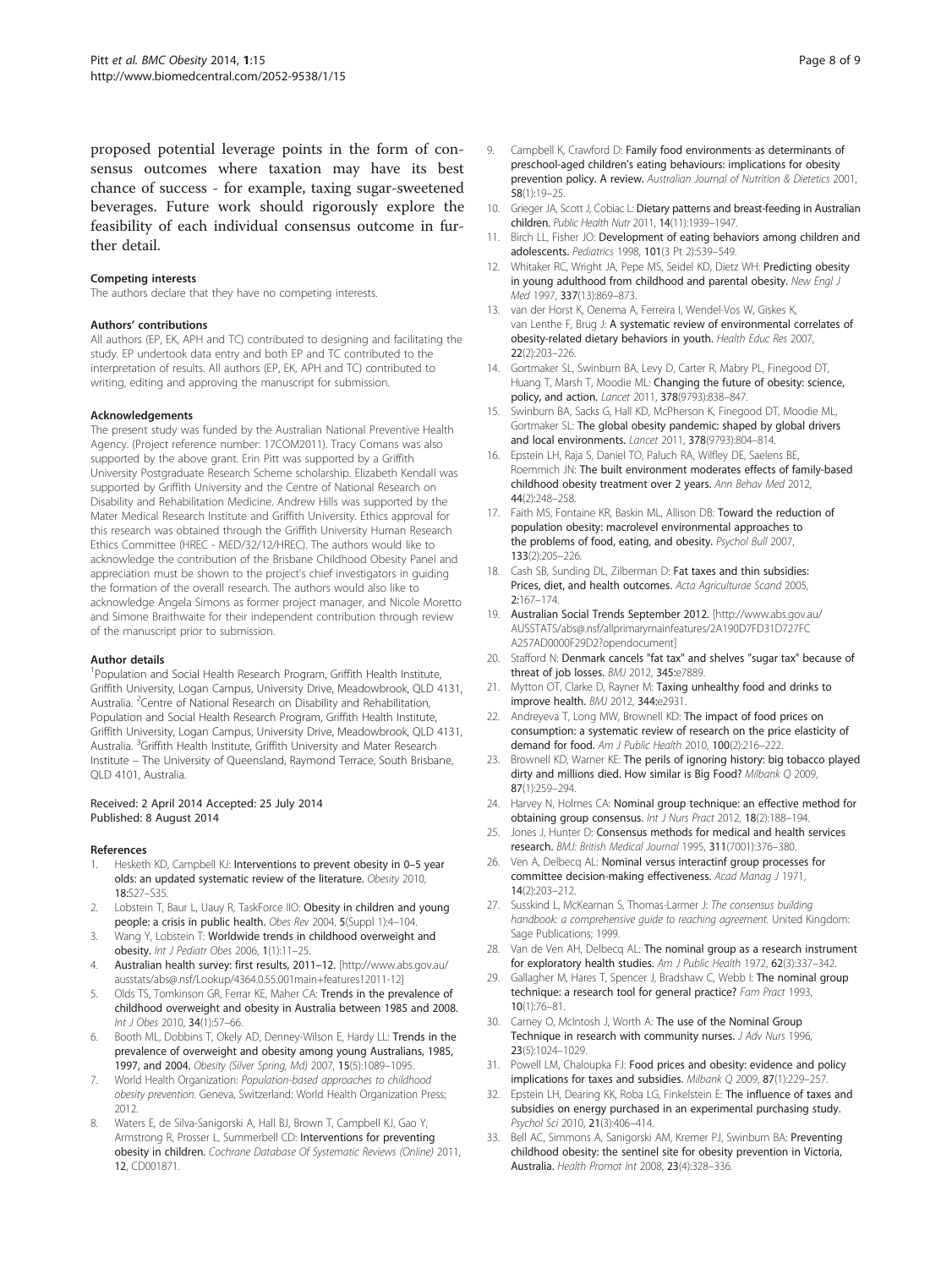<span id="page-7-0"></span>proposed potential leverage points in the form of consensus outcomes where taxation may have its best chance of success - for example, taxing sugar-sweetened beverages. Future work should rigorously explore the feasibility of each individual consensus outcome in further detail.

#### Competing interests

The authors declare that they have no competing interests.

#### Authors' contributions

All authors (EP, EK, APH and TC) contributed to designing and facilitating the study. EP undertook data entry and both EP and TC contributed to the interpretation of results. All authors (EP, EK, APH and TC) contributed to writing, editing and approving the manuscript for submission.

#### Acknowledgements

The present study was funded by the Australian National Preventive Health Agency. (Project reference number: 17COM2011). Tracy Comans was also supported by the above grant. Erin Pitt was supported by a Griffith University Postgraduate Research Scheme scholarship. Elizabeth Kendall was supported by Griffith University and the Centre of National Research on Disability and Rehabilitation Medicine. Andrew Hills was supported by the Mater Medical Research Institute and Griffith University. Ethics approval for this research was obtained through the Griffith University Human Research Ethics Committee (HREC - MED/32/12/HREC). The authors would like to acknowledge the contribution of the Brisbane Childhood Obesity Panel and appreciation must be shown to the project's chief investigators in guiding the formation of the overall research. The authors would also like to acknowledge Angela Simons as former project manager, and Nicole Moretto and Simone Braithwaite for their independent contribution through review of the manuscript prior to submission.

#### Author details

<sup>1</sup> Population and Social Health Research Program, Griffith Health Institute, Griffith University, Logan Campus, University Drive, Meadowbrook, QLD 4131, Australia. <sup>2</sup> Centre of National Research on Disability and Rehabilitation, Population and Social Health Research Program, Griffith Health Institute, Griffith University, Logan Campus, University Drive, Meadowbrook, QLD 4131, Australia. <sup>3</sup>Griffith Health Institute, Griffith University and Mater Research Institute – The University of Queensland, Raymond Terrace, South Brisbane, QLD 4101, Australia.

#### Received: 2 April 2014 Accepted: 25 July 2014 Published: 8 August 2014

#### References

- 1. Hesketh KD, Campbell KJ: Interventions to prevent obesity in 0-5 year olds: an updated systematic review of the literature. Obesity 2010, 18:S27–S35.
- 2. Lobstein T, Baur L, Uauy R, TaskForce IIO: Obesity in children and young people: a crisis in public health. Obes Rev 2004, 5(Suppl 1):4–104.
- 3. Wang Y, Lobstein T: Worldwide trends in childhood overweight and obesity. Int J Pediatr Obes 2006, 1(1):11–25.
- 4. Australian health survey: first results, 2011–12. [\[http://www.abs.gov.au/](http://www.abs.gov.au/ausstats/abs@.nsf/Lookup/4364.0.55.001main+features12011-12) [ausstats/abs@.nsf/Lookup/4364.0.55.001main+features12011-12](http://www.abs.gov.au/ausstats/abs@.nsf/Lookup/4364.0.55.001main+features12011-12)]
- 5. Olds TS, Tomkinson GR, Ferrar KE, Maher CA: Trends in the prevalence of childhood overweight and obesity in Australia between 1985 and 2008. Int J Obes 2010, 34(1):57–66.
- 6. Booth ML, Dobbins T, Okely AD, Denney-Wilson E, Hardy LL: Trends in the prevalence of overweight and obesity among young Australians, 1985, 1997, and 2004. Obesity (Silver Spring, Md) 2007, 15(5):1089–1095.
- 7. World Health Organization: Population-based approaches to childhood obesity prevention. Geneva, Switzerland: World Health Organization Press; 2012.
- Waters E, de Silva-Sanigorski A, Hall BJ, Brown T, Campbell KJ, Gao Y, Armstrong R, Prosser L, Summerbell CD: Interventions for preventing obesity in children. Cochrane Database Of Systematic Reviews (Online) 2011, 12, CD001871.
- 9. Campbell K, Crawford D: Family food environments as determinants of preschool-aged children's eating behaviours: implications for obesity prevention policy. A review. Australian Journal of Nutrition & Dietetics 2001, 58(1):19–25.
- 10. Grieger JA, Scott J, Cobiac L: Dietary patterns and breast-feeding in Australian children. Public Health Nutr 2011, 14(11):1939–1947.
- 11. Birch LL, Fisher JO: Development of eating behaviors among children and adolescents. Pediatrics 1998, 101(3 Pt 2):539–549.
- 12. Whitaker RC, Wright JA, Pepe MS, Seidel KD, Dietz WH: Predicting obesity in young adulthood from childhood and parental obesity. New Engl J Med 1997, 337(13):869–873.
- 13. van der Horst K, Oenema A, Ferreira I, Wendel-Vos W, Giskes K, van Lenthe F, Brug J: A systematic review of environmental correlates of obesity-related dietary behaviors in youth. Health Educ Res 2007, 22(2):203–226.
- 14. Gortmaker SL, Swinburn BA, Levy D, Carter R, Mabry PL, Finegood DT, Huang T, Marsh T, Moodie ML: Changing the future of obesity: science, policy, and action. Lancet 2011, 378(9793):838–847.
- 15. Swinburn BA, Sacks G, Hall KD, McPherson K, Finegood DT, Moodie ML, Gortmaker SL: The global obesity pandemic: shaped by global drivers and local environments. Lancet 2011, 378(9793):804–814.
- 16. Epstein LH, Raja S, Daniel TO, Paluch RA, Wilfley DE, Saelens BE, Roemmich JN: The built environment moderates effects of family-based childhood obesity treatment over 2 years. Ann Behav Med 2012, 44(2):248–258.
- 17. Faith MS, Fontaine KR, Baskin ML, Allison DB: Toward the reduction of population obesity: macrolevel environmental approaches to the problems of food, eating, and obesity. Psychol Bull 2007, 133(2):205–226.
- 18. Cash SB, Sunding DL, Zilberman D: Fat taxes and thin subsidies: Prices, diet, and health outcomes. Acta Agriculturae Scand 2005, 2:167–174.
- 19. Australian Social Trends September 2012. [[http://www.abs.gov.au/](http://www.abs.gov.au/AUSSTATS/abs@.nsf/allprimarymainfeatures/2A190D7FD31D727FCA257AD0000F29D2?opendocument) [AUSSTATS/abs@.nsf/allprimarymainfeatures/2A190D7FD31D727FC](http://www.abs.gov.au/AUSSTATS/abs@.nsf/allprimarymainfeatures/2A190D7FD31D727FCA257AD0000F29D2?opendocument) [A257AD0000F29D2?opendocument\]](http://www.abs.gov.au/AUSSTATS/abs@.nsf/allprimarymainfeatures/2A190D7FD31D727FCA257AD0000F29D2?opendocument)
- 20. Stafford N: Denmark cancels "fat tax" and shelves "sugar tax" because of threat of job losses. BMJ 2012, 345:e7889.
- 21. Mytton OT, Clarke D, Rayner M: Taxing unhealthy food and drinks to improve health. BMJ 2012, 344:e2931.
- 22. Andreyeva T, Long MW, Brownell KD: The impact of food prices on consumption: a systematic review of research on the price elasticity of demand for food. Am J Public Health 2010, 100(2):216–222.
- 23. Brownell KD, Warner KE: The perils of ignoring history: big tobacco played dirty and millions died. How similar is Big Food? Milbank Q 2009, 87(1):259–294.
- 24. Harvey N, Holmes CA: Nominal group technique: an effective method for obtaining group consensus. Int J Nurs Pract 2012, 18(2):188–194.
- 25. Jones J, Hunter D: Consensus methods for medical and health services research. BMJ: British Medical Journal 1995, 311(7001):376–380.
- 26. Ven A, Delbecq AL: Nominal versus interactinf group processes for committee decision-making effectiveness. Acad Manag J 1971, 14(2):203–212.
- 27. Susskind L, McKearnan S, Thomas-Larmer J: The consensus building handbook: a comprehensive guide to reaching agreement. United Kingdom: Sage Publications; 1999.
- 28. Van de Ven AH, Delbecq AL: The nominal group as a research instrument for exploratory health studies. Am J Public Health 1972, 62(3):337–342.
- 29. Gallagher M, Hares T, Spencer J, Bradshaw C, Webb I: The nominal group technique: a research tool for general practice? Fam Pract 1993, 10(1):76–81.
- 30. Carney O, McIntosh J, Worth A: The use of the Nominal Group Technique in research with community nurses. J Adv Nurs 1996, 23(5):1024–1029.
- 31. Powell LM, Chaloupka FJ: Food prices and obesity: evidence and policy implications for taxes and subsidies. Milbank Q 2009, 87(1):229–257.
- 32. Epstein LH, Dearing KK, Roba LG, Finkelstein E: The influence of taxes and subsidies on energy purchased in an experimental purchasing study. Psychol Sci 2010, 21(3):406–414.
- 33. Bell AC, Simmons A, Sanigorski AM, Kremer PJ, Swinburn BA: Preventing childhood obesity: the sentinel site for obesity prevention in Victoria, Australia. Health Promot Int 2008, 23(4):328–336.